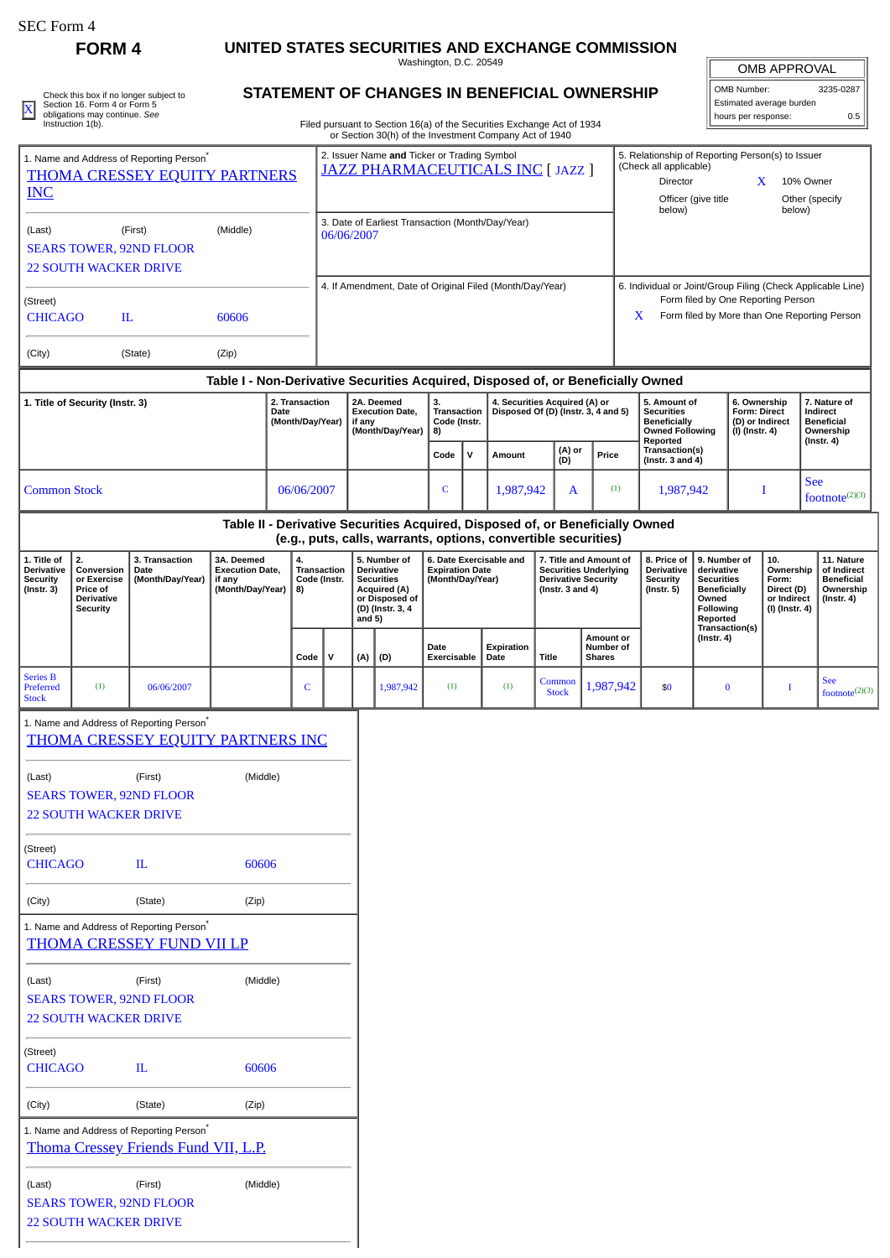Check this box if no longer subject to Section 16. Form 4 or Form 5 obligations may continue. *See* Instruction 1(b).

## **FORM 4 UNITED STATES SECURITIES AND EXCHANGE COMMISSION**

Washington, D.C. 20549

| <b>OMB APPROVAL</b>      |           |
|--------------------------|-----------|
| OMB Number:              | 3235-0287 |
| Estimated average burden |           |

| Check this box if no longer subject to | <b>STATEMENT OF CHANGES IN BENEFICIAL OWNERSHIP</b> | OMB Number:                | 3235-0287 |
|----------------------------------------|-----------------------------------------------------|----------------------------|-----------|
| Section 16, Form 4 or Form 5           |                                                     | i Estimated average burden |           |
| obligations may continue. See          |                                                     | hours per response:        |           |

Filed pursuant to Section 16(a) of the Securities Exchange Act of 1934 or Section 30(h) of the Investment Company Act of 1940

| 1. Name and Address of Reporting Person <sup>®</sup><br><b>THOMA CRESSEY EQUITY PARTNERS</b> |                                                                              |                                                                                                  |                                                                                  |                                                                                                                                                                                                                                                     | 2. Issuer Name and Ticker or Trading Symbol<br>5. Relationship of Reporting Person(s) to Issuer<br>(Check all applicable)<br>JAZZ PHARMACEUTICALS INC [ JAZZ ]<br>Director<br>X<br>10% Owner |            |                                                                                                          |                                                  |                                                                      |                                                                                                                                                              |  |                                                                                                                                                 |                                                                                                |                                                                                                                                                        |                                                                          |                                         |                        |                                                |        |                                 |                            |
|----------------------------------------------------------------------------------------------|------------------------------------------------------------------------------|--------------------------------------------------------------------------------------------------|----------------------------------------------------------------------------------|-----------------------------------------------------------------------------------------------------------------------------------------------------------------------------------------------------------------------------------------------------|----------------------------------------------------------------------------------------------------------------------------------------------------------------------------------------------|------------|----------------------------------------------------------------------------------------------------------|--------------------------------------------------|----------------------------------------------------------------------|--------------------------------------------------------------------------------------------------------------------------------------------------------------|--|-------------------------------------------------------------------------------------------------------------------------------------------------|------------------------------------------------------------------------------------------------|--------------------------------------------------------------------------------------------------------------------------------------------------------|--------------------------------------------------------------------------|-----------------------------------------|------------------------|------------------------------------------------|--------|---------------------------------|----------------------------|
| <b>INC</b>                                                                                   |                                                                              |                                                                                                  |                                                                                  |                                                                                                                                                                                                                                                     |                                                                                                                                                                                              |            |                                                                                                          |                                                  |                                                                      |                                                                                                                                                              |  |                                                                                                                                                 |                                                                                                |                                                                                                                                                        |                                                                          | Officer (give title<br>below)           |                        |                                                | below) | Other (specify                  |                            |
| (Last)                                                                                       | <b>22 SOUTH WACKER DRIVE</b>                                                 | (First)<br><b>SEARS TOWER, 92ND FLOOR</b>                                                        | (Middle)                                                                         |                                                                                                                                                                                                                                                     |                                                                                                                                                                                              | 06/06/2007 |                                                                                                          | 3. Date of Earliest Transaction (Month/Day/Year) |                                                                      |                                                                                                                                                              |  |                                                                                                                                                 |                                                                                                |                                                                                                                                                        |                                                                          |                                         |                        |                                                |        |                                 |                            |
| (Street)<br><b>CHICAGO</b>                                                                   | IL                                                                           |                                                                                                  | 60606                                                                            |                                                                                                                                                                                                                                                     |                                                                                                                                                                                              |            | 4. If Amendment, Date of Original Filed (Month/Day/Year)                                                 |                                                  |                                                                      |                                                                                                                                                              |  |                                                                                                                                                 |                                                                                                | 6. Individual or Joint/Group Filing (Check Applicable Line)<br>Form filed by One Reporting Person<br>Form filed by More than One Reporting Person<br>X |                                                                          |                                         |                        |                                                |        |                                 |                            |
| (City)                                                                                       |                                                                              | (State)                                                                                          | (Zip)                                                                            |                                                                                                                                                                                                                                                     |                                                                                                                                                                                              |            |                                                                                                          |                                                  |                                                                      |                                                                                                                                                              |  |                                                                                                                                                 |                                                                                                |                                                                                                                                                        |                                                                          |                                         |                        |                                                |        |                                 |                            |
|                                                                                              |                                                                              |                                                                                                  | Table I - Non-Derivative Securities Acquired, Disposed of, or Beneficially Owned |                                                                                                                                                                                                                                                     |                                                                                                                                                                                              |            |                                                                                                          |                                                  |                                                                      |                                                                                                                                                              |  |                                                                                                                                                 |                                                                                                |                                                                                                                                                        |                                                                          |                                         |                        |                                                |        |                                 |                            |
| 1. Title of Security (Instr. 3)<br>2. Transaction<br>Date<br>(Month/Day/Year)                |                                                                              |                                                                                                  |                                                                                  | 2A. Deemed<br><b>Execution Date,</b><br>if any<br>(Month/Day/Year)                                                                                                                                                                                  |                                                                                                                                                                                              | 3.<br>8)   | <b>Transaction</b><br>Code (Instr.                                                                       |                                                  | 4. Securities Acquired (A) or<br>Disposed Of (D) (Instr. 3, 4 and 5) |                                                                                                                                                              |  |                                                                                                                                                 | 5. Amount of<br><b>Securities</b><br><b>Beneficially</b><br><b>Owned Following</b><br>Reported |                                                                                                                                                        | 6. Ownership<br><b>Form: Direct</b><br>(D) or Indirect<br>(I) (Instr. 4) |                                         | Indirect<br>(Instr. 4) | 7. Nature of<br><b>Beneficial</b><br>Ownership |        |                                 |                            |
|                                                                                              |                                                                              |                                                                                                  |                                                                                  |                                                                                                                                                                                                                                                     |                                                                                                                                                                                              |            |                                                                                                          |                                                  | Code                                                                 | $\mathsf{v}$                                                                                                                                                 |  | Amount                                                                                                                                          | (A) or<br>(D)                                                                                  |                                                                                                                                                        | Price                                                                    | Transaction(s)<br>(Instr. $3$ and $4$ ) |                        |                                                |        |                                 |                            |
| <b>Common Stock</b>                                                                          |                                                                              |                                                                                                  |                                                                                  |                                                                                                                                                                                                                                                     | 06/06/2007                                                                                                                                                                                   |            |                                                                                                          |                                                  | $\mathsf{C}$                                                         |                                                                                                                                                              |  | 1,987,942                                                                                                                                       | A                                                                                              |                                                                                                                                                        | (1)                                                                      | 1,987,942                               |                        |                                                | Ι      | <b>See</b><br>footnote $(2)(3)$ |                            |
|                                                                                              |                                                                              |                                                                                                  |                                                                                  |                                                                                                                                                                                                                                                     |                                                                                                                                                                                              |            |                                                                                                          |                                                  |                                                                      |                                                                                                                                                              |  | Table II - Derivative Securities Acquired, Disposed of, or Beneficially Owned<br>(e.g., puts, calls, warrants, options, convertible securities) |                                                                                                |                                                                                                                                                        |                                                                          |                                         |                        |                                                |        |                                 |                            |
| 1. Title of<br>Derivative<br><b>Security</b><br>$($ Instr. 3 $)$                             | 2.<br>Conversion<br>or Exercise<br>Price of<br>Derivative<br><b>Security</b> | 3. Transaction<br>Date<br>(Month/Day/Year)                                                       | 3A. Deemed<br><b>Execution Date,</b><br>if any<br>(Month/Day/Year)               | 6. Date Exercisable and<br>4.<br>5. Number of<br>Transaction<br><b>Derivative</b><br><b>Expiration Date</b><br>Code (Instr.<br><b>Securities</b><br>(Month/Day/Year)<br><b>Acquired (A)</b><br>8)<br>or Disposed of<br>(D) (Instr. 3, 4<br>and $5)$ |                                                                                                                                                                                              |            | 7. Title and Amount of<br><b>Securities Underlying</b><br><b>Derivative Security</b><br>(Instr. 3 and 4) |                                                  |                                                                      | 8. Price of<br>Derivative<br>derivative<br><b>Securities</b><br><b>Security</b><br>$($ Instr. 5 $)$<br><b>Beneficially</b><br>Owned<br>Following<br>Reported |  | 9. Number of<br>10.<br>Ownership<br>Form:<br>Direct (D)<br>or Indirect<br>(I) (Instr. 4)                                                        |                                                                                                | $($ Instr. 4 $)$                                                                                                                                       | 11. Nature<br>of Indirect<br><b>Beneficial</b><br>Ownership              |                                         |                        |                                                |        |                                 |                            |
|                                                                                              |                                                                              |                                                                                                  |                                                                                  |                                                                                                                                                                                                                                                     | Code                                                                                                                                                                                         | v          | (A)                                                                                                      | (D)                                              | Date<br>Exercisable                                                  |                                                                                                                                                              |  | Expiration<br>Date                                                                                                                              | <b>Title</b>                                                                                   | <b>Shares</b>                                                                                                                                          | <b>Amount or</b><br>Number of                                            |                                         | $($ Instr. 4 $)$       | Transaction(s)                                 |        |                                 |                            |
| <b>Series B</b><br>Preferred<br><b>Stock</b>                                                 | (1)                                                                          | 06/06/2007                                                                                       |                                                                                  |                                                                                                                                                                                                                                                     | C                                                                                                                                                                                            |            |                                                                                                          | 1,987,942                                        | (1)                                                                  |                                                                                                                                                              |  | (1)                                                                                                                                             | Common<br><b>Stock</b>                                                                         |                                                                                                                                                        | 1,987,942                                                                | \$0                                     |                        | $\bf{0}$                                       | I      | <b>See</b>                      | footnote <sup>(2)(3)</sup> |
|                                                                                              |                                                                              | 1. Name and Address of Reporting Person <sup>*</sup><br><b>THOMA CRESSEY EQUITY PARTNERS INC</b> |                                                                                  |                                                                                                                                                                                                                                                     |                                                                                                                                                                                              |            |                                                                                                          |                                                  |                                                                      |                                                                                                                                                              |  |                                                                                                                                                 |                                                                                                |                                                                                                                                                        |                                                                          |                                         |                        |                                                |        |                                 |                            |
| (Last)                                                                                       | <b>22 SOUTH WACKER DRIVE</b>                                                 | (First)<br><b>SEARS TOWER, 92ND FLOOR</b>                                                        | (Middle)                                                                         |                                                                                                                                                                                                                                                     |                                                                                                                                                                                              |            |                                                                                                          |                                                  |                                                                      |                                                                                                                                                              |  |                                                                                                                                                 |                                                                                                |                                                                                                                                                        |                                                                          |                                         |                        |                                                |        |                                 |                            |
| (Street)<br><b>CHICAGO</b>                                                                   |                                                                              | $\mathbf{I}$                                                                                     | 60606                                                                            |                                                                                                                                                                                                                                                     |                                                                                                                                                                                              |            |                                                                                                          |                                                  |                                                                      |                                                                                                                                                              |  |                                                                                                                                                 |                                                                                                |                                                                                                                                                        |                                                                          |                                         |                        |                                                |        |                                 |                            |
| (City)                                                                                       |                                                                              | (State)                                                                                          | (Zip)                                                                            |                                                                                                                                                                                                                                                     |                                                                                                                                                                                              |            |                                                                                                          |                                                  |                                                                      |                                                                                                                                                              |  |                                                                                                                                                 |                                                                                                |                                                                                                                                                        |                                                                          |                                         |                        |                                                |        |                                 |                            |
|                                                                                              |                                                                              | 1. Name and Address of Reporting Person <sup>*</sup><br><b>THOMA CRESSEY FUND VII LP</b>         |                                                                                  |                                                                                                                                                                                                                                                     |                                                                                                                                                                                              |            |                                                                                                          |                                                  |                                                                      |                                                                                                                                                              |  |                                                                                                                                                 |                                                                                                |                                                                                                                                                        |                                                                          |                                         |                        |                                                |        |                                 |                            |
| (Last)                                                                                       | <b>22 SOUTH WACKER DRIVE</b>                                                 | (First)<br><b>SEARS TOWER, 92ND FLOOR</b>                                                        | (Middle)                                                                         |                                                                                                                                                                                                                                                     |                                                                                                                                                                                              |            |                                                                                                          |                                                  |                                                                      |                                                                                                                                                              |  |                                                                                                                                                 |                                                                                                |                                                                                                                                                        |                                                                          |                                         |                        |                                                |        |                                 |                            |
| (Street)<br><b>CHICAGO</b>                                                                   |                                                                              | $\mathbf{L}$                                                                                     | 60606                                                                            |                                                                                                                                                                                                                                                     |                                                                                                                                                                                              |            |                                                                                                          |                                                  |                                                                      |                                                                                                                                                              |  |                                                                                                                                                 |                                                                                                |                                                                                                                                                        |                                                                          |                                         |                        |                                                |        |                                 |                            |
| (City)                                                                                       |                                                                              | (State)                                                                                          | (Zip)                                                                            |                                                                                                                                                                                                                                                     |                                                                                                                                                                                              |            |                                                                                                          |                                                  |                                                                      |                                                                                                                                                              |  |                                                                                                                                                 |                                                                                                |                                                                                                                                                        |                                                                          |                                         |                        |                                                |        |                                 |                            |

1. Name and Address of Reporting Person\* [Thoma Cressey Friends Fund VII, L.P.](http://www.sec.gov/cgi-bin/browse-edgar?action=getcompany&CIK=0001368807)

(Last) (First) (Middle) SEARS TOWER, 92ND FLOOR 22 SOUTH WACKER DRIVE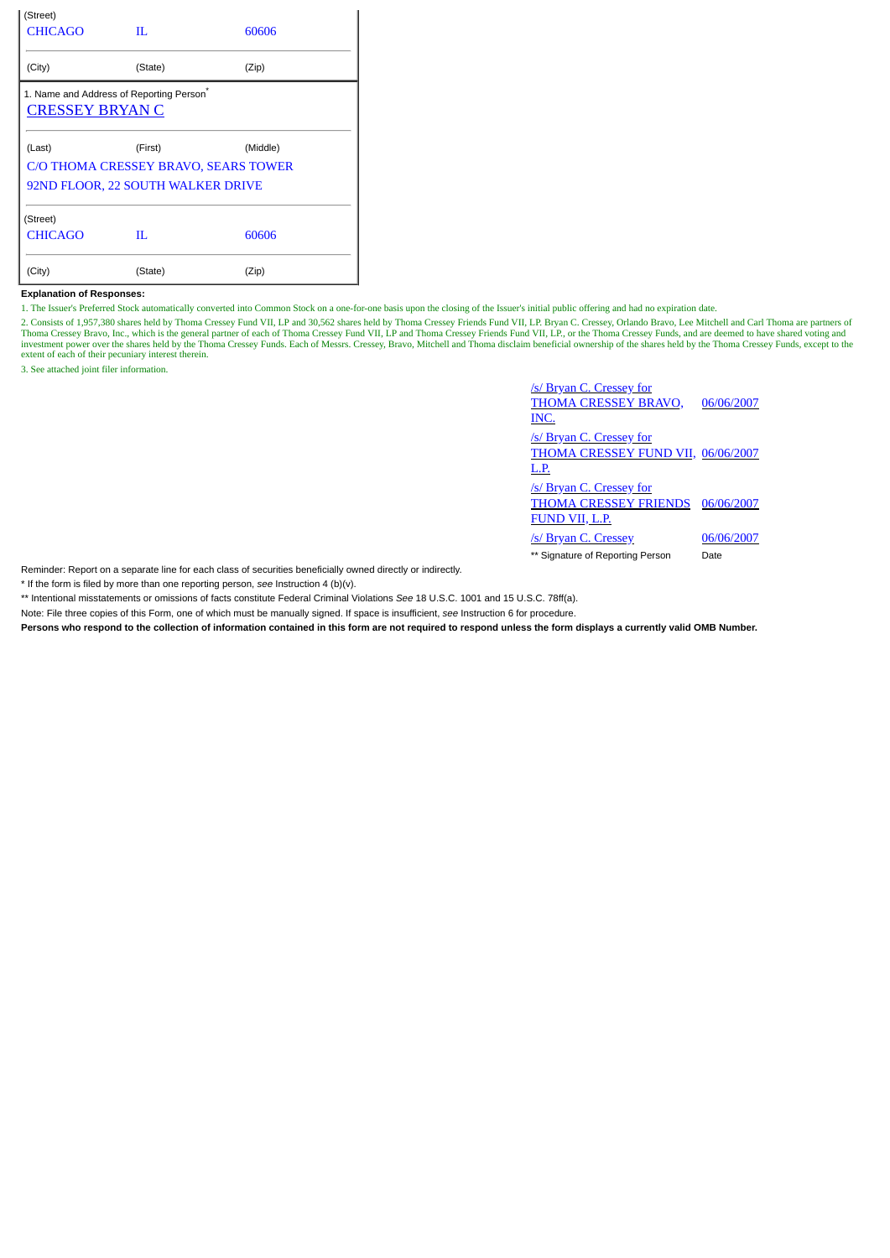| (Street)                                             |                                      |       |  |  |
|------------------------------------------------------|--------------------------------------|-------|--|--|
| <b>CHICAGO</b>                                       | П.                                   | 60606 |  |  |
|                                                      |                                      |       |  |  |
| (City)                                               | (State)                              | (Zip) |  |  |
| 1. Name and Address of Reporting Person <sup>®</sup> |                                      |       |  |  |
| <b>CRESSEY BRYAN C</b>                               |                                      |       |  |  |
|                                                      |                                      |       |  |  |
| (Last)                                               | (First)<br>(Middle)                  |       |  |  |
|                                                      | C/O THOMA CRESSEY BRAVO, SEARS TOWER |       |  |  |
|                                                      | 92ND FLOOR, 22 SOUTH WALKER DRIVE    |       |  |  |
|                                                      |                                      |       |  |  |
| (Street)                                             |                                      |       |  |  |
| <b>CHICAGO</b>                                       | П.                                   | 60606 |  |  |
|                                                      |                                      |       |  |  |
| (City)                                               | (State)                              | (Zip) |  |  |

## **Explanation of Responses:**

1. The Issuer's Preferred Stock automatically converted into Common Stock on a one-for-one basis upon the closing of the Issuer's initial public offering and had no expiration date.

2. Consists of 1,957,380 shares held by Thoma Cressey Fund VII, LP and 30,562 shares held by Thoma Cressey Friends Fund VII, LP. Bryan C. Cressey, Orlando Bravo, Lee Mitchell and Carl Thoma are partners of Thoma Cressey Bravo, Inc., which is the general partner of each of Thoma Cressey Fund VII, LP and Thoma Cressey Friends Fund VII, LP, or the Thoma Cressey Funds, and are deemed to have shared voting and<br>investment power ov extent of each of their pecuniary interest therein.

3. See attached joint filer information.

**/s/ Bryan C. Cressey for** THOMA CRESSEY BRAVO, INC. 06/06/2007 **/s/ Bryan C. Cressey for** THOMA CRESSEY FUND VII, 06/06/2007 L.P. **/s/ Bryan C. Cressey for** THOMA CRESSEY FRIENDS 06/06/2007 FUND VII, L.P. /s/ Bryan C. Cressey 06/06/2007

\*\* Signature of Reporting Person Date

Reminder: Report on a separate line for each class of securities beneficially owned directly or indirectly.

\* If the form is filed by more than one reporting person, *see* Instruction 4 (b)(v).

\*\* Intentional misstatements or omissions of facts constitute Federal Criminal Violations *See* 18 U.S.C. 1001 and 15 U.S.C. 78ff(a).

Note: File three copies of this Form, one of which must be manually signed. If space is insufficient, *see* Instruction 6 for procedure.

**Persons who respond to the collection of information contained in this form are not required to respond unless the form displays a currently valid OMB Number.**